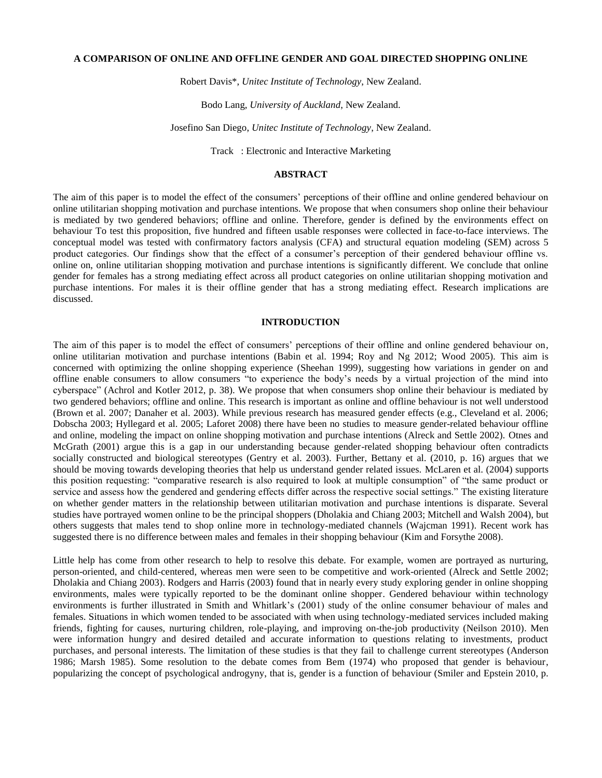### **A COMPARISON OF ONLINE AND OFFLINE GENDER AND GOAL DIRECTED SHOPPING ONLINE**

Robert Davis\*, *Unitec Institute of Technology*, [New](mailto:rdavis@unitec.ac.nz) Zealand.

Bodo Lang, *University of Auckland*[, New](mailto:rdavis@unitec.ac.nz) Zealand.

Josefino San Diego, *Unitec Institute of Technology*, [New](mailto:rdavis@unitec.ac.nz) Zealand.

Track : Electronic and Interactive Marketing

### **ABSTRACT**

The aim of this paper is to model the effect of the consumers' perceptions of their offline and online gendered behaviour on online utilitarian shopping motivation and purchase intentions. We propose that when consumers shop online their behaviour is mediated by two gendered behaviors; offline and online. Therefore, gender is defined by the environments effect on behaviour To test this proposition, five hundred and fifteen usable responses were collected in face-to-face interviews. The conceptual model was tested with confirmatory factors analysis (CFA) and structural equation modeling (SEM) across 5 product categories. Our findings show that the effect of a consumer's perception of their gendered behaviour offline vs. online on, online utilitarian shopping motivation and purchase intentions is significantly different. We conclude that online gender for females has a strong mediating effect across all product categories on online utilitarian shopping motivation and purchase intentions. For males it is their offline gender that has a strong mediating effect. Research implications are discussed.

#### **INTRODUCTION**

The aim of this paper is to model the effect of consumers' perceptions of their offline and online gendered behaviour on, online utilitarian motivation and purchase intentions (Babin et al. 1994; Roy and Ng 2012; Wood 2005). This aim is concerned with optimizing the online shopping experience (Sheehan 1999), suggesting how variations in gender on and offline enable consumers to allow consumers "to experience the body's needs by a virtual projection of the mind into cyberspace" (Achrol and Kotler 2012, p. 38). We propose that when consumers shop online their behaviour is mediated by two gendered behaviors; offline and online. This research is important as online and offline behaviour is not well understood (Brown et al. 2007; Danaher et al. 2003). While previous research has measured gender effects (e.g., Cleveland et al. 2006; Dobscha 2003; Hyllegard et al. 2005; Laforet 2008) there have been no studies to measure gender-related behaviour offline and online, modeling the impact on online shopping motivation and purchase intentions (Alreck and Settle 2002). Otnes and McGrath (2001) argue this is a gap in our understanding because gender-related shopping behaviour often contradicts socially constructed and biological stereotypes (Gentry et al. 2003). Further, Bettany et al. (2010, p. 16) argues that we should be moving towards developing theories that help us understand gender related issues. McLaren et al. (2004) supports this position requesting: "comparative research is also required to look at multiple consumption" of "the same product or service and assess how the gendered and gendering effects differ across the respective social settings." The existing literature on whether gender matters in the relationship between utilitarian motivation and purchase intentions is disparate. Several studies have portrayed women online to be the principal shoppers (Dholakia and Chiang 2003; Mitchell and Walsh 2004), but others suggests that males tend to shop online more in technology-mediated channels (Wajcman 1991). Recent work has suggested there is no difference between males and females in their shopping behaviour (Kim and Forsythe 2008).

Little help has come from other research to help to resolve this debate. For example, women are portrayed as nurturing, person-oriented, and child-centered, whereas men were seen to be competitive and work-oriented (Alreck and Settle 2002; Dholakia and Chiang 2003). Rodgers and Harris (2003) found that in nearly every study exploring gender in online shopping environments, males were typically reported to be the dominant online shopper. Gendered behaviour within technology environments is further illustrated in Smith and Whitlark's (2001) study of the online consumer behaviour of males and females. Situations in which women tended to be associated with when using technology-mediated services included making friends, fighting for causes, nurturing children, role-playing, and improving on-the-job productivity (Neilson 2010). Men were information hungry and desired detailed and accurate information to questions relating to investments, product purchases, and personal interests. The limitation of these studies is that they fail to challenge current stereotypes (Anderson 1986; Marsh 1985). Some resolution to the debate comes from Bem (1974) who proposed that gender is behaviour, popularizing the concept of psychological androgyny, that is, gender is a function of behaviour (Smiler and Epstein 2010, p.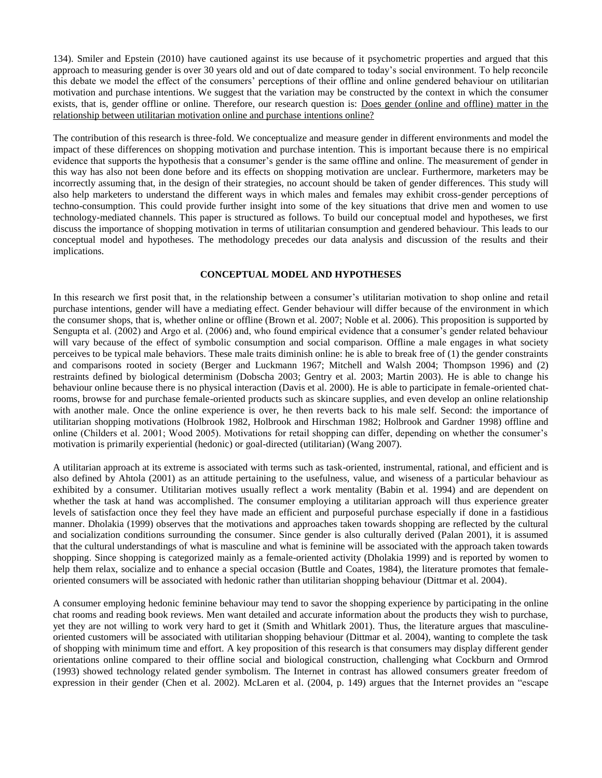134). Smiler and Epstein (2010) have cautioned against its use because of it psychometric properties and argued that this approach to measuring gender is over 30 years old and out of date compared to today's social environment. To help reconcile this debate we model the effect of the consumers' perceptions of their offline and online gendered behaviour on utilitarian motivation and purchase intentions. We suggest that the variation may be constructed by the context in which the consumer exists, that is, gender offline or online. Therefore, our research question is: Does gender (online and offline) matter in the relationship between utilitarian motivation online and purchase intentions online?

The contribution of this research is three-fold. We conceptualize and measure gender in different environments and model the impact of these differences on shopping motivation and purchase intention. This is important because there is no empirical evidence that supports the hypothesis that a consumer's gender is the same offline and online. The measurement of gender in this way has also not been done before and its effects on shopping motivation are unclear. Furthermore, marketers may be incorrectly assuming that, in the design of their strategies, no account should be taken of gender differences. This study will also help marketers to understand the different ways in which males and females may exhibit cross-gender perceptions of techno-consumption. This could provide further insight into some of the key situations that drive men and women to use technology-mediated channels. This paper is structured as follows. To build our conceptual model and hypotheses, we first discuss the importance of shopping motivation in terms of utilitarian consumption and gendered behaviour. This leads to our conceptual model and hypotheses. The methodology precedes our data analysis and discussion of the results and their implications.

## **CONCEPTUAL MODEL AND HYPOTHESES**

In this research we first posit that, in the relationship between a consumer's utilitarian motivation to shop online and retail purchase intentions, gender will have a mediating effect. Gender behaviour will differ because of the environment in which the consumer shops, that is, whether online or offline (Brown et al. 2007; Noble et al. 2006). This proposition is supported by Sengupta et al. (2002) and Argo et al. (2006) and, who found empirical evidence that a consumer's gender related behaviour will vary because of the effect of symbolic consumption and social comparison. Offline a male engages in what society perceives to be typical male behaviors. These male traits diminish online: he is able to break free of (1) the gender constraints and comparisons rooted in society (Berger and Luckmann 1967; Mitchell and Walsh 2004; Thompson 1996) and (2) restraints defined by biological determinism (Dobscha 2003; Gentry et al. 2003; Martin 2003). He is able to change his behaviour online because there is no physical interaction (Davis et al. 2000). He is able to participate in female-oriented chatrooms, browse for and purchase female-oriented products such as skincare supplies, and even develop an online relationship with another male. Once the online experience is over, he then reverts back to his male self. Second: the importance of utilitarian shopping motivations (Holbrook 1982, Holbrook and Hirschman 1982; Holbrook and Gardner 1998) offline and online (Childers et al. 2001; Wood 2005). Motivations for retail shopping can differ, depending on whether the consumer's motivation is primarily experiential (hedonic) or goal-directed (utilitarian) (Wang 2007).

A utilitarian approach at its extreme is associated with terms such as task-oriented, instrumental, rational, and efficient and is also defined by Ahtola (2001) as an attitude pertaining to the usefulness, value, and wiseness of a particular behaviour as exhibited by a consumer. Utilitarian motives usually reflect a work mentality (Babin et al. 1994) and are dependent on whether the task at hand was accomplished. The consumer employing a utilitarian approach will thus experience greater levels of satisfaction once they feel they have made an efficient and purposeful purchase especially if done in a fastidious manner. Dholakia (1999) observes that the motivations and approaches taken towards shopping are reflected by the cultural and socialization conditions surrounding the consumer. Since gender is also culturally derived (Palan 2001), it is assumed that the cultural understandings of what is masculine and what is feminine will be associated with the approach taken towards shopping. Since shopping is categorized mainly as a female-oriented activity (Dholakia 1999) and is reported by women to help them relax, socialize and to enhance a special occasion (Buttle and Coates, 1984), the literature promotes that femaleoriented consumers will be associated with hedonic rather than utilitarian shopping behaviour (Dittmar et al. 2004).

A consumer employing hedonic feminine behaviour may tend to savor the shopping experience by participating in the online chat rooms and reading book reviews. Men want detailed and accurate information about the products they wish to purchase, yet they are not willing to work very hard to get it (Smith and Whitlark 2001). Thus, the literature argues that masculineoriented customers will be associated with utilitarian shopping behaviour (Dittmar et al. 2004), wanting to complete the task of shopping with minimum time and effort. A key proposition of this research is that consumers may display different gender orientations online compared to their offline social and biological construction, challenging what Cockburn and Ormrod (1993) showed technology related gender symbolism. The Internet in contrast has allowed consumers greater freedom of expression in their gender (Chen et al. 2002). McLaren et al. (2004, p. 149) argues that the Internet provides an "escape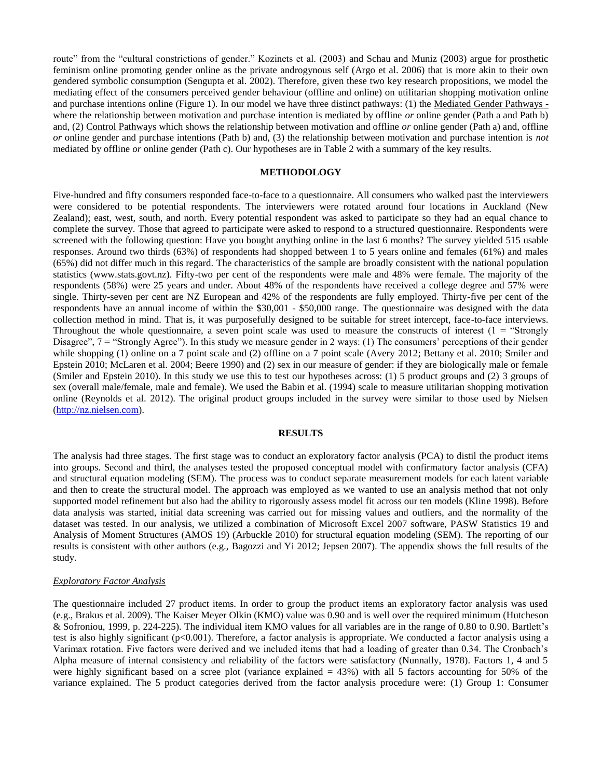route" from the "cultural constrictions of gender." Kozinets et al. (2003) and Schau and Muniz (2003) argue for prosthetic feminism online promoting gender online as the private androgynous self (Argo et al. 2006) that is more akin to their own gendered symbolic consumption (Sengupta et al. 2002). Therefore, given these two key research propositions, we model the mediating effect of the consumers perceived gender behaviour (offline and online) on utilitarian shopping motivation online and purchase intentions online (Figure 1). In our model we have three distinct pathways: (1) the Mediated Gender Pathways where the relationship between motivation and purchase intention is mediated by offline *or* online gender (Path a and Path b) and, (2) Control Pathways which shows the relationship between motivation and offline *or* online gender (Path a) and, offline *or* online gender and purchase intentions (Path b) and, (3) the relationship between motivation and purchase intention is *not* mediated by offline *or* online gender (Path c). Our hypotheses are in Table 2 with a summary of the key results.

## **METHODOLOGY**

Five-hundred and fifty consumers responded face-to-face to a questionnaire. All consumers who walked past the interviewers were considered to be potential respondents. The interviewers were rotated around four locations in Auckland (New Zealand); east, west, south, and north. Every potential respondent was asked to participate so they had an equal chance to complete the survey. Those that agreed to participate were asked to respond to a structured questionnaire. Respondents were screened with the following question: Have you bought anything online in the last 6 months? The survey yielded 515 usable responses. Around two thirds (63%) of respondents had shopped between 1 to 5 years online and females (61%) and males (65%) did not differ much in this regard. The characteristics of the sample are broadly consistent with the national population statistics (www.stats.govt.nz). Fifty-two per cent of the respondents were male and 48% were female. The majority of the respondents (58%) were 25 years and under. About 48% of the respondents have received a college degree and 57% were single. Thirty-seven per cent are NZ European and 42% of the respondents are fully employed. Thirty-five per cent of the respondents have an annual income of within the \$30,001 - \$50,000 range. The questionnaire was designed with the data collection method in mind. That is, it was purposefully designed to be suitable for street intercept, face-to-face interviews. Throughout the whole questionnaire, a seven point scale was used to measure the constructs of interest  $(1 - "Strongly")$ Disagree",  $7 =$  "Strongly Agree"). In this study we measure gender in 2 ways: (1) The consumers' perceptions of their gender while shopping (1) online on a 7 point scale and (2) offline on a 7 point scale (Avery 2012; Bettany et al. 2010; Smiler and Epstein 2010; McLaren et al. 2004; Beere 1990) and (2) sex in our measure of gender: if they are biologically male or female (Smiler and Epstein 2010). In this study we use this to test our hypotheses across: (1) 5 product groups and (2) 3 groups of sex (overall male/female, male and female). We used the Babin et al. (1994) scale to measure utilitarian shopping motivation online (Reynolds et al. 2012). The original product groups included in the survey were similar to those used by Nielsen [\(http://nz.nielsen.com\)](http://nz.nielsen.com/).

#### **RESULTS**

The analysis had three stages. The first stage was to conduct an exploratory factor analysis (PCA) to distil the product items into groups. Second and third, the analyses tested the proposed conceptual model with confirmatory factor analysis (CFA) and structural equation modeling (SEM). The process was to conduct separate measurement models for each latent variable and then to create the structural model. The approach was employed as we wanted to use an analysis method that not only supported model refinement but also had the ability to rigorously assess model fit across our ten models (Kline 1998). Before data analysis was started, initial data screening was carried out for missing values and outliers, and the normality of the dataset was tested. In our analysis, we utilized a combination of Microsoft Excel 2007 software, PASW Statistics 19 and Analysis of Moment Structures (AMOS 19) (Arbuckle 2010) for structural equation modeling (SEM). The reporting of our results is consistent with other authors (e.g., Bagozzi and Yi 2012; Jepsen 2007). The appendix shows the full results of the study.

#### *Exploratory Factor Analysis*

The questionnaire included 27 product items. In order to group the product items an exploratory factor analysis was used (e.g., Brakus et al. 2009). The Kaiser Meyer Olkin (KMO) value was 0.90 and is well over the required minimum (Hutcheson & Sofroniou, 1999, p. 224-225). The individual item KMO values for all variables are in the range of 0.80 to 0.90. Bartlett's test is also highly significant (p<0.001). Therefore, a factor analysis is appropriate. We conducted a factor analysis using a Varimax rotation. Five factors were derived and we included items that had a loading of greater than 0.34. The Cronbach's Alpha measure of internal consistency and reliability of the factors were satisfactory (Nunnally, 1978). Factors 1, 4 and 5 were highly significant based on a scree plot (variance explained  $= 43\%$ ) with all 5 factors accounting for 50% of the variance explained. The 5 product categories derived from the factor analysis procedure were: (1) Group 1: Consumer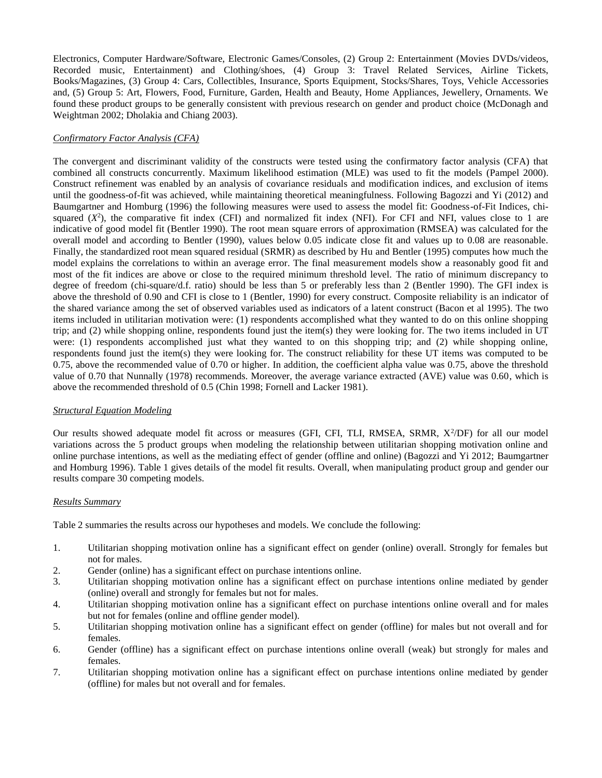Electronics, Computer Hardware/Software, Electronic Games/Consoles, (2) Group 2: Entertainment (Movies DVDs/videos, Recorded music, Entertainment) and Clothing/shoes, (4) Group 3: Travel Related Services, Airline Tickets, Books/Magazines, (3) Group 4: Cars, Collectibles, Insurance, Sports Equipment, Stocks/Shares, Toys, Vehicle Accessories and, (5) Group 5: Art, Flowers, Food, Furniture, Garden, Health and Beauty, Home Appliances, Jewellery, Ornaments. We found these product groups to be generally consistent with previous research on gender and product choice (McDonagh and Weightman 2002; Dholakia and Chiang 2003).

# *Confirmatory Factor Analysis (CFA)*

The convergent and discriminant validity of the constructs were tested using the confirmatory factor analysis (CFA) that combined all constructs concurrently. Maximum likelihood estimation (MLE) was used to fit the models (Pampel 2000). Construct refinement was enabled by an analysis of covariance residuals and modification indices, and exclusion of items until the goodness-of-fit was achieved, while maintaining theoretical meaningfulness. Following Bagozzi and Yi (2012) and Baumgartner and Homburg (1996) the following measures were used to assess the model fit: Goodness-of-Fit Indices, chisquared  $(X^2)$ , the comparative fit index (CFI) and normalized fit index (NFI). For CFI and NFI, values close to 1 are indicative of good model fit (Bentler 1990). The root mean square errors of approximation (RMSEA) was calculated for the overall model and according to Bentler (1990), values below 0.05 indicate close fit and values up to 0.08 are reasonable. Finally, the standardized root mean squared residual (SRMR) as described by Hu and Bentler (1995) computes how much the model explains the correlations to within an average error. The final measurement models show a reasonably good fit and most of the fit indices are above or close to the required minimum threshold level. The ratio of minimum discrepancy to degree of freedom (chi-square/d.f. ratio) should be less than 5 or preferably less than 2 (Bentler 1990). The GFI index is above the threshold of 0.90 and CFI is close to 1 (Bentler, 1990) for every construct. Composite reliability is an indicator of the shared variance among the set of observed variables used as indicators of a latent construct (Bacon et al 1995). The two items included in utilitarian motivation were: (1) respondents accomplished what they wanted to do on this online shopping trip; and (2) while shopping online, respondents found just the item(s) they were looking for. The two items included in UT were: (1) respondents accomplished just what they wanted to on this shopping trip; and (2) while shopping online, respondents found just the item(s) they were looking for. The construct reliability for these UT items was computed to be 0.75, above the recommended value of 0.70 or higher. In addition, the coefficient alpha value was 0.75, above the threshold value of 0.70 that Nunnally (1978) recommends. Moreover, the average variance extracted (AVE) value was 0.60, which is above the recommended threshold of 0.5 (Chin 1998; Fornell and Lacker 1981).

## *Structural Equation Modeling*

Our results showed adequate model fit across or measures (GFI, CFI, TLI, RMSEA, SRMR, X<sup>2</sup>/DF) for all our model variations across the 5 product groups when modeling the relationship between utilitarian shopping motivation online and online purchase intentions, as well as the mediating effect of gender (offline and online) (Bagozzi and Yi 2012; Baumgartner and Homburg 1996). Table 1 gives details of the model fit results. Overall, when manipulating product group and gender our results compare 30 competing models.

# *Results Summary*

Table 2 summaries the results across our hypotheses and models. We conclude the following:

- 1. Utilitarian shopping motivation online has a significant effect on gender (online) overall. Strongly for females but not for males.
- 2. Gender (online) has a significant effect on purchase intentions online.
- 3. Utilitarian shopping motivation online has a significant effect on purchase intentions online mediated by gender (online) overall and strongly for females but not for males.
- 4. Utilitarian shopping motivation online has a significant effect on purchase intentions online overall and for males but not for females (online and offline gender model).
- 5. Utilitarian shopping motivation online has a significant effect on gender (offline) for males but not overall and for females.
- 6. Gender (offline) has a significant effect on purchase intentions online overall (weak) but strongly for males and females.
- 7. Utilitarian shopping motivation online has a significant effect on purchase intentions online mediated by gender (offline) for males but not overall and for females.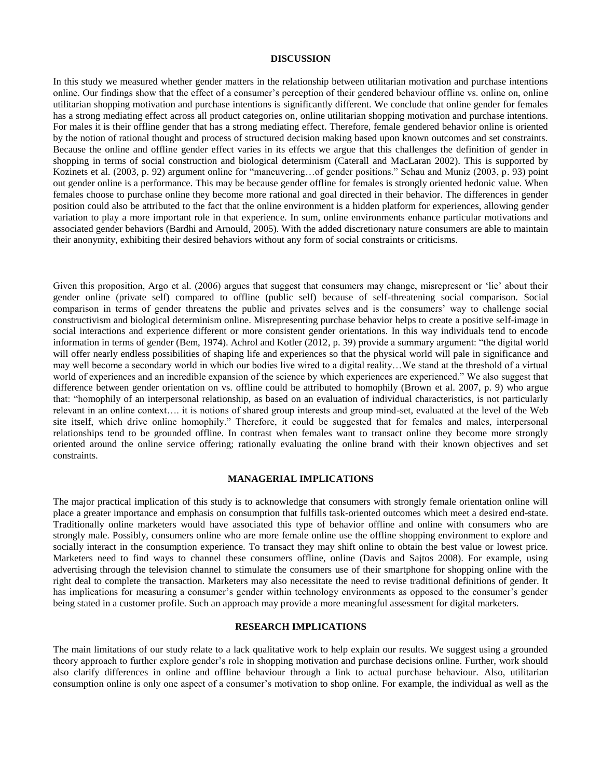#### **DISCUSSION**

In this study we measured whether gender matters in the relationship between utilitarian motivation and purchase intentions online. Our findings show that the effect of a consumer's perception of their gendered behaviour offline vs. online on, online utilitarian shopping motivation and purchase intentions is significantly different. We conclude that online gender for females has a strong mediating effect across all product categories on, online utilitarian shopping motivation and purchase intentions. For males it is their offline gender that has a strong mediating effect. Therefore, female gendered behavior online is oriented by the notion of rational thought and process of structured decision making based upon known outcomes and set constraints. Because the online and offline gender effect varies in its effects we argue that this challenges the definition of gender in shopping in terms of social construction and biological determinism (Caterall and MacLaran 2002). This is supported by Kozinets et al. (2003, p. 92) argument online for "maneuvering…of gender positions." Schau and Muniz (2003, p. 93) point out gender online is a performance. This may be because gender offline for females is strongly oriented hedonic value. When females choose to purchase online they become more rational and goal directed in their behavior. The differences in gender position could also be attributed to the fact that the online environment is a hidden platform for experiences, allowing gender variation to play a more important role in that experience. In sum, online environments enhance particular motivations and associated gender behaviors (Bardhi and Arnould, 2005). With the added discretionary nature consumers are able to maintain their anonymity, exhibiting their desired behaviors without any form of social constraints or criticisms.

Given this proposition, Argo et al. (2006) argues that suggest that consumers may change, misrepresent or 'lie' about their gender online (private self) compared to offline (public self) because of self-threatening social comparison. Social comparison in terms of gender threatens the public and privates selves and is the consumers' way to challenge social constructivism and biological determinism online. Misrepresenting purchase behavior helps to create a positive self-image in social interactions and experience different or more consistent gender orientations. In this way individuals tend to encode information in terms of gender (Bem, 1974). Achrol and Kotler (2012, p. 39) provide a summary argument: "the digital world will offer nearly endless possibilities of shaping life and experiences so that the physical world will pale in significance and may well become a secondary world in which our bodies live wired to a digital reality…We stand at the threshold of a virtual world of experiences and an incredible expansion of the science by which experiences are experienced." We also suggest that difference between gender orientation on vs. offline could be attributed to homophily (Brown et al. 2007, p. 9) who argue that: "homophily of an interpersonal relationship, as based on an evaluation of individual characteristics, is not particularly relevant in an online context…. it is notions of shared group interests and group mind-set, evaluated at the level of the Web site itself, which drive online homophily." Therefore, it could be suggested that for females and males, interpersonal relationships tend to be grounded offline. In contrast when females want to transact online they become more strongly oriented around the online service offering; rationally evaluating the online brand with their known objectives and set constraints.

## **MANAGERIAL IMPLICATIONS**

The major practical implication of this study is to acknowledge that consumers with strongly female orientation online will place a greater importance and emphasis on consumption that fulfills task-oriented outcomes which meet a desired end-state. Traditionally online marketers would have associated this type of behavior offline and online with consumers who are strongly male. Possibly, consumers online who are more female online use the offline shopping environment to explore and socially interact in the consumption experience. To transact they may shift online to obtain the best value or lowest price. Marketers need to find ways to channel these consumers offline, online (Davis and Sajtos 2008). For example, using advertising through the television channel to stimulate the consumers use of their smartphone for shopping online with the right deal to complete the transaction. Marketers may also necessitate the need to revise traditional definitions of gender. It has implications for measuring a consumer's gender within technology environments as opposed to the consumer's gender being stated in a customer profile. Such an approach may provide a more meaningful assessment for digital marketers.

## **RESEARCH IMPLICATIONS**

The main limitations of our study relate to a lack qualitative work to help explain our results. We suggest using a grounded theory approach to further explore gender's role in shopping motivation and purchase decisions online. Further, work should also clarify differences in online and offline behaviour through a link to actual purchase behaviour. Also, utilitarian consumption online is only one aspect of a consumer's motivation to shop online. For example, the individual as well as the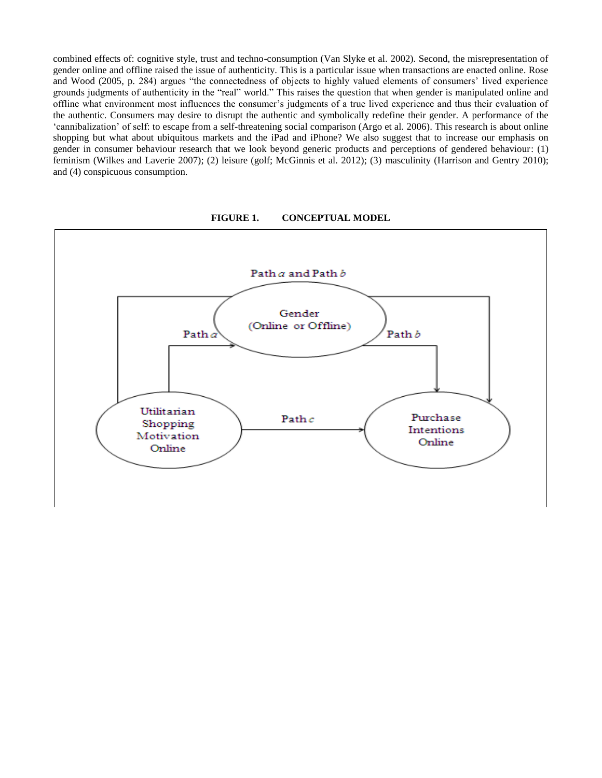combined effects of: cognitive style, trust and techno-consumption (Van Slyke et al. 2002). Second, the misrepresentation of gender online and offline raised the issue of authenticity. This is a particular issue when transactions are enacted online. Rose and Wood (2005, p. 284) argues "the connectedness of objects to highly valued elements of consumers' lived experience grounds judgments of authenticity in the "real" world." This raises the question that when gender is manipulated online and offline what environment most influences the consumer's judgments of a true lived experience and thus their evaluation of the authentic. Consumers may desire to disrupt the authentic and symbolically redefine their gender. A performance of the 'cannibalization' of self: to escape from a self-threatening social comparison (Argo et al. 2006). This research is about online shopping but what about ubiquitous markets and the iPad and iPhone? We also suggest that to increase our emphasis on gender in consumer behaviour research that we look beyond generic products and perceptions of gendered behaviour: (1) feminism (Wilkes and Laverie 2007); (2) leisure (golf; McGinnis et al. 2012); (3) masculinity (Harrison and Gentry 2010); and (4) conspicuous consumption.

**FIGURE 1. CONCEPTUAL MODEL**

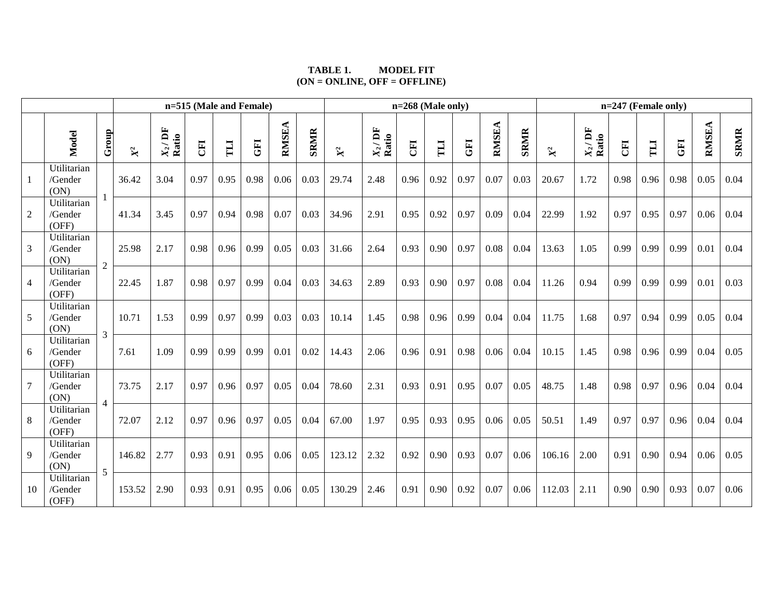# **TABLE 1. MODEL FIT (ON = ONLINE, OFF = OFFLINE)**

|                |                                 |                | n=515 (Male and Female) |                              |            |      |            |       | $n=268$ (Male only) |              |                                        |            |      |      | $n=247$ (Female only) |             |          |                               |            |      |      |       |             |
|----------------|---------------------------------|----------------|-------------------------|------------------------------|------------|------|------------|-------|---------------------|--------------|----------------------------------------|------------|------|------|-----------------------|-------------|----------|-------------------------------|------------|------|------|-------|-------------|
|                | Model                           | Group          | $\aleph$                | $\frac{X_2}{\mathrm{Ratio}}$ | <b>EED</b> | ПЦ   | <b>GFI</b> | RMSEA | <b>SRMR</b>         | $\mathbb{X}$ | $\frac{X_2 / \text{DF}}{\text{Ratio}}$ | <b>CHI</b> | LIL  | GFI  | RMSEA                 | <b>SRMR</b> | $\chi^2$ | $X_2/\, \mathrm{DF}$<br>Ratio | <b>CHI</b> | П    | GFI  | RMSEA | <b>SRMR</b> |
| $\mathbf{1}$   | Utilitarian<br>/Gender<br>(ON)  |                | 36.42                   | 3.04                         | 0.97       | 0.95 | 0.98       | 0.06  | 0.03                | 29.74        | 2.48                                   | 0.96       | 0.92 | 0.97 | 0.07                  | 0.03        | 20.67    | 1.72                          | 0.98       | 0.96 | 0.98 | 0.05  | 0.04        |
| $\overline{2}$ | Utilitarian<br>/Gender<br>(OFF) |                | 41.34                   | 3.45                         | 0.97       | 0.94 | 0.98       | 0.07  | 0.03                | 34.96        | 2.91                                   | 0.95       | 0.92 | 0.97 | 0.09                  | 0.04        | 22.99    | 1.92                          | 0.97       | 0.95 | 0.97 | 0.06  | 0.04        |
| 3              | Utilitarian<br>/Gender<br>(ON)  | $\overline{2}$ | 25.98                   | 2.17                         | 0.98       | 0.96 | 0.99       | 0.05  | 0.03                | 31.66        | 2.64                                   | 0.93       | 0.90 | 0.97 | 0.08                  | 0.04        | 13.63    | 1.05                          | 0.99       | 0.99 | 0.99 | 0.01  | 0.04        |
| 4              | Utilitarian<br>/Gender<br>(OFF) |                | 22.45                   | 1.87                         | 0.98       | 0.97 | 0.99       | 0.04  | 0.03                | 34.63        | 2.89                                   | 0.93       | 0.90 | 0.97 | 0.08                  | 0.04        | 11.26    | 0.94                          | 0.99       | 0.99 | 0.99 | 0.01  | 0.03        |
| 5              | Utilitarian<br>/Gender<br>(ON)  | 3              | 10.71                   | 1.53                         | 0.99       | 0.97 | 0.99       | 0.03  | 0.03                | 10.14        | 1.45                                   | 0.98       | 0.96 | 0.99 | 0.04                  | 0.04        | 11.75    | 1.68                          | 0.97       | 0.94 | 0.99 | 0.05  | 0.04        |
| 6              | Utilitarian<br>/Gender<br>(OFF) |                | 7.61                    | 1.09                         | 0.99       | 0.99 | 0.99       | 0.01  | 0.02                | 14.43        | 2.06                                   | 0.96       | 0.91 | 0.98 | 0.06                  | 0.04        | 10.15    | 1.45                          | 0.98       | 0.96 | 0.99 | 0.04  | 0.05        |
| 7              | Utilitarian<br>/Gender<br>(ON)  | $\overline{4}$ | 73.75                   | 2.17                         | 0.97       | 0.96 | 0.97       | 0.05  | 0.04                | 78.60        | 2.31                                   | 0.93       | 0.91 | 0.95 | 0.07                  | 0.05        | 48.75    | 1.48                          | 0.98       | 0.97 | 0.96 | 0.04  | 0.04        |
| 8              | Utilitarian<br>/Gender<br>(OFF) |                | 72.07                   | 2.12                         | 0.97       | 0.96 | 0.97       | 0.05  | 0.04                | 67.00        | 1.97                                   | 0.95       | 0.93 | 0.95 | 0.06                  | 0.05        | 50.51    | 1.49                          | 0.97       | 0.97 | 0.96 | 0.04  | 0.04        |
| 9              | Utilitarian<br>/Gender<br>(ON)  | 5              | 146.82                  | 2.77                         | 0.93       | 0.91 | 0.95       | 0.06  | 0.05                | 123.12       | 2.32                                   | 0.92       | 0.90 | 0.93 | 0.07                  | 0.06        | 106.16   | 2.00                          | 0.91       | 0.90 | 0.94 | 0.06  | 0.05        |
| 10             | Utilitarian<br>/Gender<br>(OFF) |                | 153.52                  | 2.90                         | 0.93       | 0.91 | 0.95       | 0.06  | 0.05                | 130.29       | 2.46                                   | 0.91       | 0.90 | 0.92 | 0.07                  | 0.06        | 112.03   | 2.11                          | 0.90       | 0.90 | 0.93 | 0.07  | 0.06        |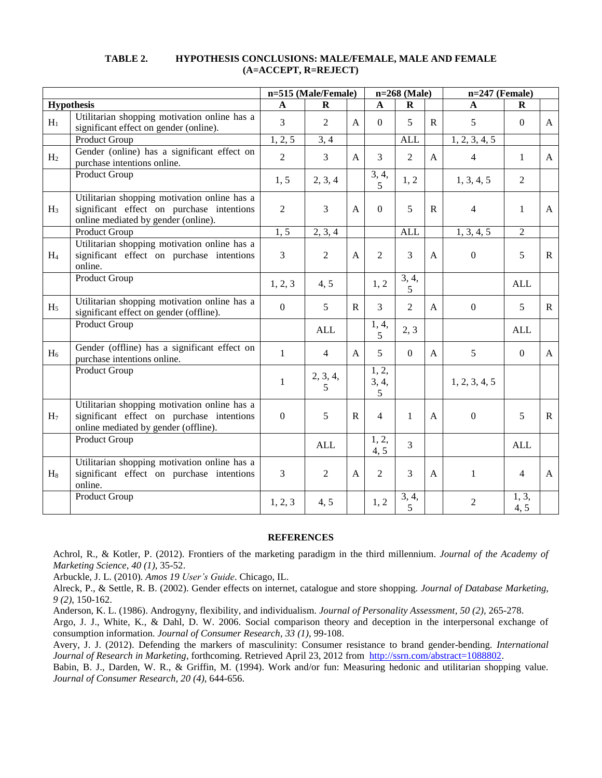|                |                                                                                                                                   | n=515 (Male/Female) |                | $n=268$ (Male) |                     | $n=247$ (Female) |              |                  |                |              |
|----------------|-----------------------------------------------------------------------------------------------------------------------------------|---------------------|----------------|----------------|---------------------|------------------|--------------|------------------|----------------|--------------|
|                | <b>Hypothesis</b>                                                                                                                 | $\mathbf A$         | $\mathbf R$    |                | $\mathbf A$         | $\mathbf R$      |              | $\mathbf{A}$     | $\bf R$        |              |
| $H_1$          | Utilitarian shopping motivation online has a<br>significant effect on gender (online).                                            | 3                   | $\overline{2}$ | $\mathsf{A}$   | $\Omega$            | 5                | $\mathbf{R}$ | 5                | $\Omega$       | $\mathbf{A}$ |
|                | Product Group                                                                                                                     | 1, 2, 5             | 3, 4           |                |                     | <b>ALL</b>       |              | 1, 2, 3, 4, 5    |                |              |
| H <sub>2</sub> | Gender (online) has a significant effect on<br>purchase intentions online.                                                        | $\overline{2}$      | 3              | A              | 3                   | $\overline{2}$   | A            | $\overline{4}$   | $\mathbf{1}$   | A            |
|                | Product Group                                                                                                                     | 1, 5                | 2, 3, 4        |                | 3, 4,<br>5          | 1, 2             |              | 1, 3, 4, 5       | 2              |              |
| $H_3$          | Utilitarian shopping motivation online has a<br>significant effect on purchase intentions<br>online mediated by gender (online).  | 2                   | 3              | A              | $\Omega$            | 5                | $\mathbf{R}$ | 4                | $\mathbf{1}$   | $\mathsf{A}$ |
|                | Product Group                                                                                                                     | 1, 5                | 2, 3, 4        |                |                     | <b>ALL</b>       |              | 1, 3, 4, 5       | $\mathfrak{D}$ |              |
| $H_4$          | Utilitarian shopping motivation online has a<br>significant effect on purchase intentions<br>online.                              | 3                   | $\overline{2}$ | A              | 2                   | 3                | $\mathbf{A}$ | $\boldsymbol{0}$ | 5              | $\mathbf{R}$ |
|                | Product Group                                                                                                                     | 1, 2, 3             | 4, 5           |                | 1, 2                | 3, 4,<br>5       |              |                  | <b>ALL</b>     |              |
| $H_5$          | Utilitarian shopping motivation online has a<br>significant effect on gender (offline).                                           | $\Omega$            | 5 <sup>5</sup> | $\mathbf{R}$   | $\overline{3}$      | 2                | $\mathbf{A}$ | $\mathbf{0}$     | 5              | $\mathbf{R}$ |
|                | Product Group                                                                                                                     |                     | <b>ALL</b>     |                | 1, 4,<br>5          | 2, 3             |              |                  | <b>ALL</b>     |              |
| H <sub>6</sub> | Gender (offline) has a significant effect on<br>purchase intentions online.                                                       | $\mathbf{1}$        | $\overline{4}$ | A              | 5 <sup>5</sup>      | $\overline{0}$   | $\mathbf{A}$ | 5                | $\overline{0}$ | A            |
|                | Product Group                                                                                                                     | $\mathbf{1}$        | 2, 3, 4,<br>5  |                | 1, 2,<br>3, 4,<br>5 |                  |              | 1, 2, 3, 4, 5    |                |              |
| H <sub>7</sub> | Utilitarian shopping motivation online has a<br>significant effect on purchase intentions<br>online mediated by gender (offline). | $\mathbf{0}$        | 5              | R              | $\overline{4}$      | 1                | A            | $\mathbf{0}$     | 5              | $\mathbf{R}$ |
|                | Product Group                                                                                                                     |                     | <b>ALL</b>     |                | 1, 2,<br>4, 5       | 3                |              |                  | <b>ALL</b>     |              |
| $H_8$          | Utilitarian shopping motivation online has a<br>significant effect on purchase intentions<br>online.                              | 3                   | $\overline{2}$ | A              | $\overline{2}$      | 3                | $\mathbf{A}$ | $\mathbf{1}$     | $\overline{4}$ | A            |
|                | Product Group                                                                                                                     | 1, 2, 3             | 4, 5           |                | 1, 2                | 3, 4,<br>5       |              | $\overline{2}$   | 1, 3,<br>4, 5  |              |

# **TABLE 2. HYPOTHESIS CONCLUSIONS: MALE/FEMALE, MALE AND FEMALE (A=ACCEPT, R=REJECT)**

# **REFERENCES**

Achrol, R., & Kotler, P. (2012). Frontiers of the marketing paradigm in the third millennium. *Journal of the Academy of Marketing Science*, *40 (1)*, 35-52.

Arbuckle, J. L. (2010). *Amos 19 User's Guide*. Chicago, IL.

Alreck, P., & Settle, R. B. (2002). Gender effects on internet, catalogue and store shopping. *Journal of Database Marketing, 9 (2)*, 150-162.

Anderson, K. L. (1986). Androgyny, flexibility, and individualism. *Journal of Personality Assessment, 50 (2)*, 265-278.

Argo, J. J., White, K., & Dahl, D. W. 2006. Social comparison theory and deception in the interpersonal exchange of consumption information. *Journal of Consumer Research, 33 (1)*, 99-108.

Avery, J. J. (2012). Defending the markers of masculinity: Consumer resistance to brand gender-bending. *International Journal of Research in Marketing*, forthcoming. Retrieved April 23, 2012 from [http://ssrn.com/abstract=1088802.](http://ssrn.com/abstract=1088802)

Babin, B. J., Darden, W. R., & Griffin, M. (1994). Work and/or fun: Measuring hedonic and utilitarian shopping value. *Journal of Consumer Research, 20 (4)*, 644-656.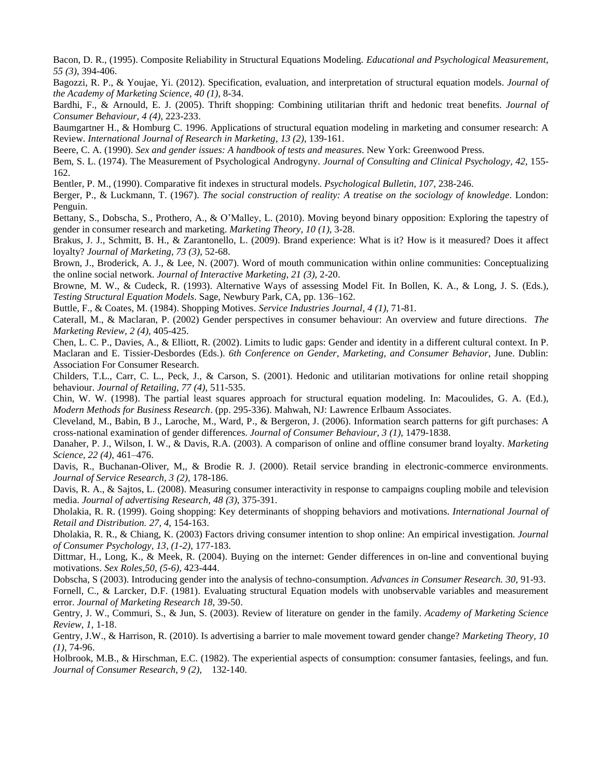Bacon, D. R., (1995). Composite Reliability in Structural Equations Modeling. *Educational and Psychological Measurement, 55 (3)*, 394-406.

Bagozzi, R. P., & Youjae, Yi. (2012). Specification, evaluation, and interpretation of structural equation models. *Journal of the Academy of Marketing Science, 40 (1),* 8-34.

Bardhi, F., & Arnould, E. J. (2005). Thrift shopping: Combining utilitarian thrift and hedonic treat benefits. *Journal of Consumer Behaviour, 4 (4)*, 223-233.

Baumgartner H., & Homburg C. 1996. Applications of structural equation modeling in marketing and consumer research: A Review. *International Journal of Research in Marketing, 13 (2)*, 139-161.

Beere, C. A. (1990). *Sex and gender issues: A handbook of tests and measures*. New York: Greenwood Press.

Bem, S. L. (1974). The Measurement of Psychological Androgyny. *Journal of Consulting and Clinical Psychology, 42,* 155- 162.

Bentler, P. M., (1990). Comparative fit indexes in structural models. *Psychological Bulletin, 107,* 238-246.

Berger, P., & Luckmann, T. (1967). *The social construction of reality: A treatise on the sociology of knowledge*. London: Penguin.

Bettany, S., Dobscha, S., Prothero, A., & O'Malley, L. (2010). Moving beyond binary opposition: Exploring the tapestry of gender in consumer research and marketing. *Marketing Theory, 10 (1),* 3-28.

Brakus, J. J., Schmitt, B. H., & Zarantonello, L. (2009). Brand experience: What is it? How is it measured? Does it affect loyalty? *Journal of Marketing, 73 (3)*, 52-68.

Brown, J., Broderick, A. J., & Lee, N. (2007). Word of mouth communication within online communities: Conceptualizing the online social network. *Journal of Interactive Marketing, 21 (3)*, 2-20.

Browne, M. W., & Cudeck, R. (1993). Alternative Ways of assessing Model Fit. In Bollen, K. A., & Long, J. S. (Eds.), *Testing Structural Equation Models*. Sage, Newbury Park, CA, pp. 136–162.

Buttle, F., & Coates, M. (1984). Shopping Motives. *Service Industries Journal, 4 (1)*, 71-81.

Caterall, M., & Maclaran, P. (2002) Gender perspectives in consumer behaviour: An overview and future directions. *The Marketing Review, 2 (4),* 405-425.

Chen, L. C. P., Davies, A., & Elliott, R. (2002). Limits to ludic gaps: Gender and identity in a different cultural context. In P. Maclaran and E. Tissier-Desbordes (Eds.). *6th Conference on Gender, Marketing, and Consumer Behavior*, June. Dublin: Association For Consumer Research.

Childers, T.L., Carr, C. L., Peck, J., & Carson, S. (2001). Hedonic and utilitarian motivations for online retail shopping behaviour. *Journal of Retailing, 77 (4)*, 511-535.

Chin, W. W. (1998). The partial least squares approach for structural equation modeling. In: Macoulides, G. A. (Ed.), *Modern Methods for Business Research*. (pp. 295-336). Mahwah, NJ: Lawrence Erlbaum Associates.

Cleveland, M., Babin, B J., Laroche, M., Ward, P., & Bergeron, J. (2006). Information search patterns for gift purchases: A cross-national examination of gender differences. *Journal of Consumer Behaviour, 3 (1)*, 1479-1838.

Danaher, P. J., Wilson, I. W., & Davis, R.A. (2003). A comparison of online and offline consumer brand loyalty. *Marketing Science, 22 (4)*, 461–476.

Davis, R., Buchanan-Oliver, M,, & Brodie R. J. (2000). Retail service branding in electronic-commerce environments. *Journal of Service Research, 3 (2)*, 178-186.

Davis, R. A., & Sajtos, L. (2008). Measuring consumer interactivity in response to campaigns coupling mobile and television media. *Journal of advertising Research, 48 (3)*, 375-391.

Dholakia, R. R. (1999). Going shopping: Key determinants of shopping behaviors and motivations. *International Journal of Retail and Distribution. 27, 4*, 154-163.

Dholakia, R. R., & Chiang, K. (2003) Factors driving consumer intention to shop online: An empirical investigation. *Journal of Consumer Psychology, 13, (1-2)*, 177-183.

Dittmar, H., Long, K., & Meek, R. (2004). Buying on the internet: Gender differences in on-line and conventional buying motivations. *Sex Roles,50, (5-6),* 423-444.

Dobscha, S (2003). Introducing gender into the analysis of techno-consumption. *Advances in Consumer Research. 30,* 91-93.

Fornell, C., & Larcker, D.F. (1981). Evaluating structural Equation models with unobservable variables and measurement error. *Journal of Marketing Research 18*, 39-50.

Gentry, J. W., Commuri, S., & Jun, S. (2003). Review of literature on gender in the family. *Academy of Marketing Science Review, 1*, 1-18.

Gentry, J.W., & Harrison, R. (2010). Is advertising a barrier to male movement toward gender change? *Marketing Theory, 10 (1)*, 74-96.

Holbrook, M.B., & Hirschman, E.C. (1982). The experiential aspects of consumption: consumer fantasies, feelings, and fun. *Journal of Consumer Research, 9 (2),* 132-140.